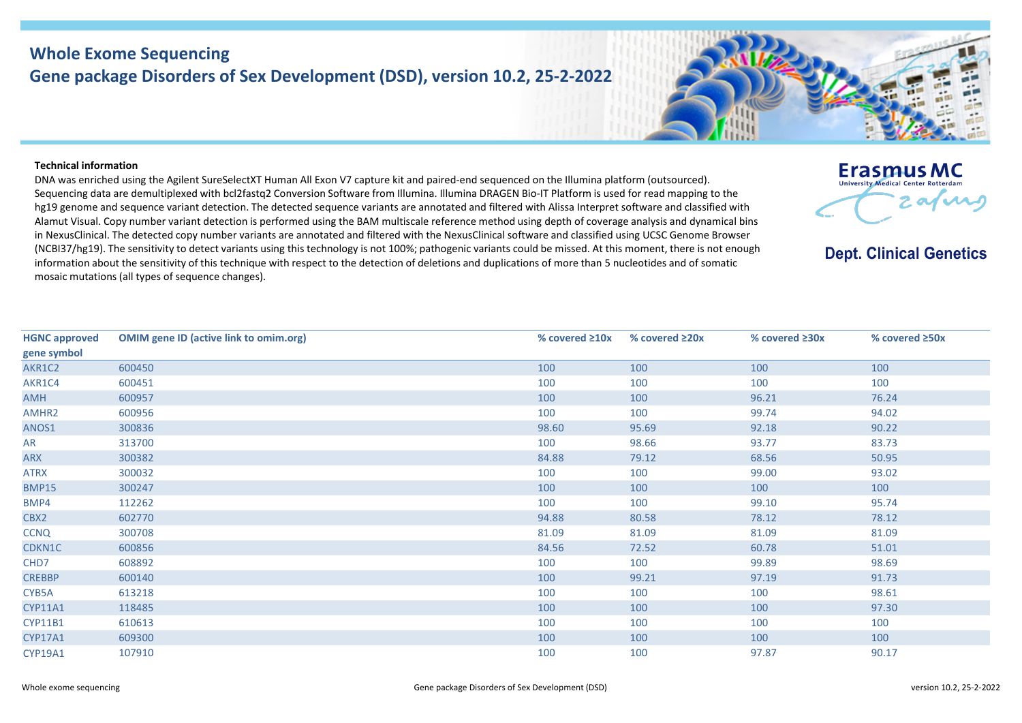## **Whole Exome Sequencing Gene package Disorders of Sex Development (DSD), version 10.2, 25-2-2022**

## **Technical information**

DNA was enriched using the Agilent SureSelectXT Human All Exon V7 capture kit and paired-end sequenced on the Illumina platform (outsourced). Sequencing data are demultiplexed with bcl2fastq2 Conversion Software from Illumina. Illumina DRAGEN Bio-IT Platform is used for read mapping to the hg19 genome and sequence variant detection. The detected sequence variants are annotated and filtered with Alissa Interpret software and classified with Alamut Visual. Copy number variant detection is performed using the BAM multiscale reference method using depth of coverage analysis and dynamical bins in NexusClinical. The detected copy number variants are annotated and filtered with the NexusClinical software and classified using UCSC Genome Browser (NCBI37/hg19). The sensitivity to detect variants using this technology is not 100%; pathogenic variants could be missed. At this moment, there is not enough information about the sensitivity of this technique with respect to the detection of deletions and duplications of more than 5 nucleotides and of somatic mosaic mutations (all types of sequence changes).

**HGNC approved gene symbol OMIM gene ID (active link to omim.org) % covered ≥10x % covered ≥20x % covered ≥30x % covered ≥50x** AKR1C2 [600450](https://omim.org/entry/600450) 100 100 100 100 AKR1C4 [600451](https://omim.org/entry/600451) 100 100 100 100 AMH [600957](https://omim.org/entry/600957) 100 100 96.21 76.24 AMHR2 [600956](https://omim.org/entry/600956) 100 100 99.74 94.02 ANOS1 [300836](https://omim.org/entry/300836) 98.60 95.69 92.18 90.22 AR [313700](https://omim.org/entry/313700) 313700 33.73 ARX [300382](https://omim.org/entry/300382) 84.88 79.12 68.56 50.95 ATRX [300032](https://omim.org/entry/300032) 100 100 99.00 93.02 BMP15 [300247](https://omim.org/entry/300247) 100 100 100 100 100 BMP4 [112262](https://omim.org/entry/112262) 100 100 99.10 95.74 CBX2 [602770](https://omim.org/entry/602770) 94.88 80.58 78.12 78.12 CCNQ [300708](https://omim.org/entry/300708) 81.09 81.09 81.09 81.09 CDKN1C [600856](https://omim.org/entry/600856) 84.56 72.52 60.78 51.01 CHD7 [608892](https://omim.org/entry/608892) 100 100 99.89 98.69 CREBBP [600140](https://omim.org/entry/600140) 100 99.21 97.19 91.73 CYB5A [613218](https://omim.org/entry/613218) 100 100 100 98.61 CYP11A1 [118485](https://omim.org/entry/118485) 100 100 100 97.30 CYP11B1 [610613](https://omim.org/entry/610613) 610613 610613 610613 61061 61061 6107 6108 61081 61081 61081 61081 61081 61081 61081 61081 610 CYP17A1 [609300](https://omim.org/entry/609300) 100 100 100 100 CYP19A1 [107910](https://omim.org/entry/107910) 100 100 97.87 90.17





**Dept. Clinical Genetics**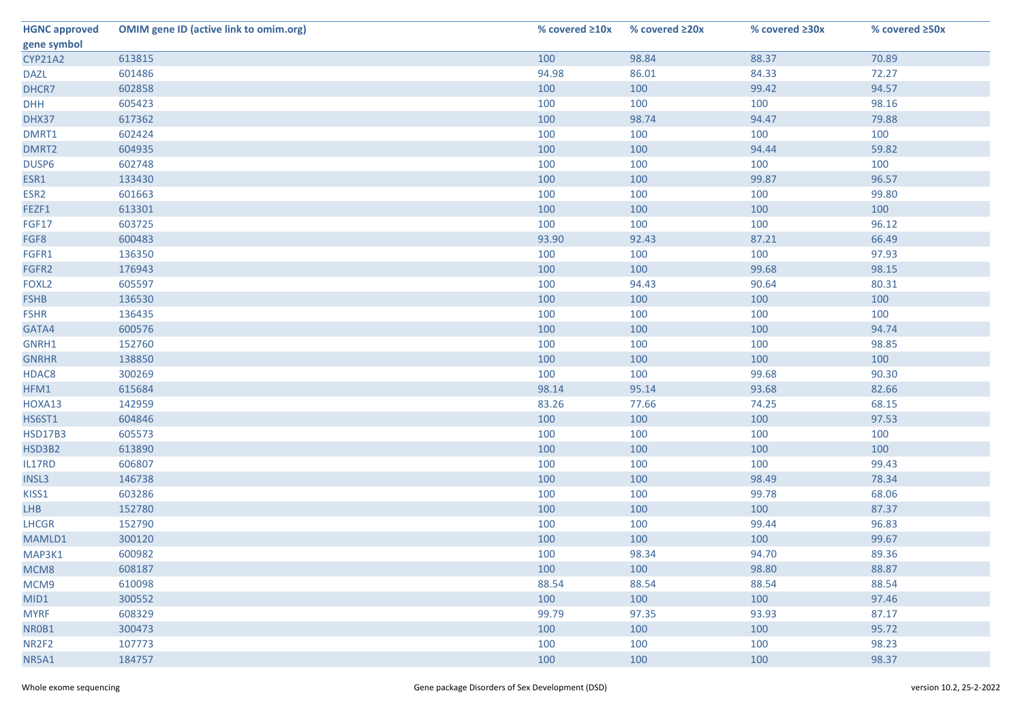| <b>HGNC approved</b>         | <b>OMIM gene ID (active link to omim.org)</b> | % covered ≥10x | % covered ≥20x | % covered ≥30x | % covered ≥50x |
|------------------------------|-----------------------------------------------|----------------|----------------|----------------|----------------|
| gene symbol                  |                                               |                |                |                |                |
| CYP21A2                      | 613815                                        | 100            | 98.84          | 88.37          | 70.89          |
| <b>DAZL</b>                  | 601486                                        | 94.98          | 86.01          | 84.33          | 72.27          |
| DHCR7                        | 602858                                        | 100            | 100            | 99.42          | 94.57          |
| <b>DHH</b>                   | 605423                                        | 100            | 100            | 100            | 98.16          |
| DHX37                        | 617362                                        | 100            | 98.74          | 94.47          | 79.88          |
| DMRT1                        | 602424                                        | 100            | 100            | 100            | 100            |
| DMRT2                        | 604935                                        | 100            | 100            | 94.44          | 59.82          |
| DUSP6                        | 602748                                        | 100            | 100            | 100            | 100            |
| ESR1                         | 133430                                        | 100            | 100            | 99.87          | 96.57          |
| ESR <sub>2</sub>             | 601663                                        | 100            | 100            | 100            | 99.80          |
| FEZF1                        | 613301                                        | 100            | 100            | 100            | 100            |
| <b>FGF17</b>                 | 603725                                        | 100            | 100            | 100            | 96.12          |
| FGF8                         | 600483                                        | 93.90          | 92.43          | 87.21          | 66.49          |
| FGFR1                        | 136350                                        | 100            | 100            | 100            | 97.93          |
| FGFR2                        | 176943                                        | 100            | 100            | 99.68          | 98.15          |
| FOXL <sub>2</sub>            | 605597                                        | 100            | 94.43          | 90.64          | 80.31          |
| <b>FSHB</b>                  | 136530                                        | 100            | 100            | 100            | 100            |
| <b>FSHR</b>                  | 136435                                        | 100            | 100            | 100            | 100            |
| GATA4                        | 600576                                        | 100            | 100            | 100            | 94.74          |
| GNRH1                        | 152760                                        | 100            | 100            | 100            | 98.85          |
| <b>GNRHR</b>                 | 138850                                        | 100            | 100            | 100            | 100            |
| HDAC8                        | 300269                                        | 100            | 100            | 99.68          | 90.30          |
| HFM1                         | 615684                                        | 98.14          | 95.14          | 93.68          | 82.66          |
| HOXA13                       | 142959                                        | 83.26          | 77.66          | 74.25          | 68.15          |
| <b>HS6ST1</b>                | 604846                                        | 100            | 100            | 100            | 97.53          |
| <b>HSD17B3</b>               | 605573                                        | 100            | 100            | 100            | 100            |
| HSD3B2                       | 613890                                        | 100            | 100            | 100            | 100            |
| IL17RD                       | 606807                                        | 100            | 100            | 100            | 99.43          |
| <b>INSL3</b>                 | 146738                                        | 100            | 100            | 98.49          | 78.34          |
| KISS1                        | 603286                                        | 100            | 100            | 99.78          | 68.06          |
| <b>LHB</b>                   | 152780                                        | 100            | 100            | 100            | 87.37          |
| LHCGR                        | 152790                                        | 100            | 100            | 99.44          | 96.83          |
| MAMLD1                       | 300120                                        | 100            | 100            | 100            | 99.67          |
| MAP3K1                       | 600982                                        | 100            | 98.34          | 94.70          | 89.36          |
| MCM8                         | 608187                                        | 100            | 100            | 98.80          | 88.87          |
| MCM9                         | 610098                                        | 88.54          | 88.54          | 88.54          | 88.54          |
| MID1                         | 300552                                        | 100            | 100            | 100            | 97.46          |
| <b>MYRF</b>                  | 608329                                        | 99.79          | 97.35          | 93.93          | 87.17          |
| NR0B1                        | 300473                                        | 100            | 100            | 100            | 95.72          |
| NR <sub>2F<sub>2</sub></sub> | 107773                                        | 100            | 100            | 100            | 98.23          |
| NR5A1                        | 184757                                        | 100            | 100            | 100            | 98.37          |